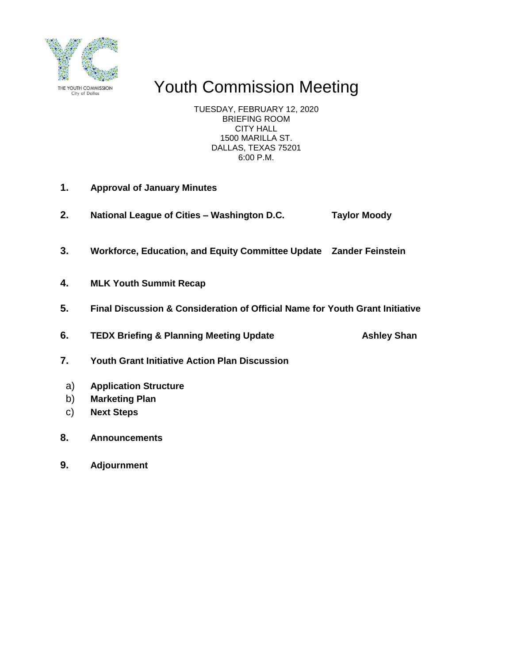

# Youth Commission Meeting

TUESDAY, FEBRUARY 12, 2020 BRIEFING ROOM CITY HALL 1500 MARILLA ST. DALLAS, TEXAS 75201 6:00 P.M.

- **1. Approval of January Minutes**
- **2. National League of Cities – Washington D.C. Taylor Moody**
- **3. Workforce, Education, and Equity Committee Update Zander Feinstein**
- **4. MLK Youth Summit Recap**
- **5. Final Discussion & Consideration of Official Name for Youth Grant Initiative**

**6. TEDX Briefing & Planning Meeting Update Ashley Shan** 

- **7. Youth Grant Initiative Action Plan Discussion**
- a) **Application Structure**
- b) **Marketing Plan**
- c) **Next Steps**
- **8. Announcements**
- **9. Adjournment**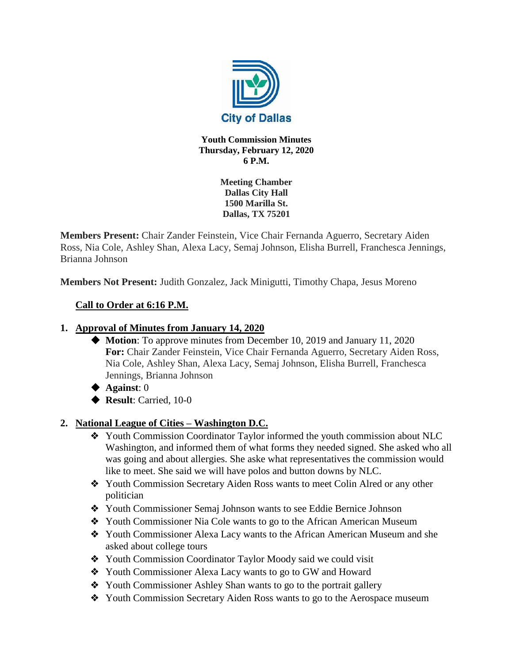

#### **Youth Commission Minutes Thursday, February 12, 2020 6 P.M.**

**Meeting Chamber Dallas City Hall 1500 Marilla St. Dallas, TX 75201**

**Members Present:** Chair Zander Feinstein, Vice Chair Fernanda Aguerro, Secretary Aiden Ross, Nia Cole, Ashley Shan, Alexa Lacy, Semaj Johnson, Elisha Burrell, Franchesca Jennings, Brianna Johnson

**Members Not Present:** Judith Gonzalez, Jack Minigutti, Timothy Chapa, Jesus Moreno

## **Call to Order at 6:16 P.M.**

#### **1. Approval of Minutes from January 14, 2020**

- ◆ **Motion**: To approve minutes from December 10, 2019 and January 11, 2020 **For:** Chair Zander Feinstein, Vice Chair Fernanda Aguerro, Secretary Aiden Ross, Nia Cole, Ashley Shan, Alexa Lacy, Semaj Johnson, Elisha Burrell, Franchesca Jennings, Brianna Johnson
- ◆ **Against**: 0
- ◆ **Result**: Carried, 10-0

#### **2. National League of Cities – Washington D.C.**

- ❖ Youth Commission Coordinator Taylor informed the youth commission about NLC Washington, and informed them of what forms they needed signed. She asked who all was going and about allergies. She aske what representatives the commission would like to meet. She said we will have polos and button downs by NLC.
- ❖ Youth Commission Secretary Aiden Ross wants to meet Colin Alred or any other politician
- ❖ Youth Commissioner Semaj Johnson wants to see Eddie Bernice Johnson
- ❖ Youth Commissioner Nia Cole wants to go to the African American Museum
- ❖ Youth Commissioner Alexa Lacy wants to the African American Museum and she asked about college tours
- ❖ Youth Commission Coordinator Taylor Moody said we could visit
- ❖ Youth Commissioner Alexa Lacy wants to go to GW and Howard
- ❖ Youth Commissioner Ashley Shan wants to go to the portrait gallery
- ❖ Youth Commission Secretary Aiden Ross wants to go to the Aerospace museum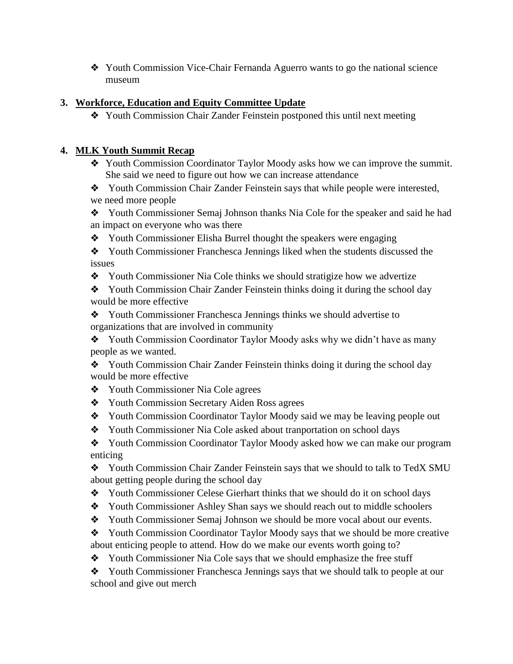❖ Youth Commission Vice-Chair Fernanda Aguerro wants to go the national science museum

#### **3. Workforce, Education and Equity Committee Update**

❖ Youth Commission Chair Zander Feinstein postponed this until next meeting

#### **4. MLK Youth Summit Recap**

❖ Youth Commission Coordinator Taylor Moody asks how we can improve the summit. She said we need to figure out how we can increase attendance

❖ Youth Commission Chair Zander Feinstein says that while people were interested, we need more people

❖ Youth Commissioner Semaj Johnson thanks Nia Cole for the speaker and said he had an impact on everyone who was there

❖ Youth Commissioner Elisha Burrel thought the speakers were engaging

❖ Youth Commissioner Franchesca Jennings liked when the students discussed the issues

❖ Youth Commissioner Nia Cole thinks we should stratigize how we advertize

❖ Youth Commission Chair Zander Feinstein thinks doing it during the school day would be more effective

❖ Youth Commissioner Franchesca Jennings thinks we should advertise to organizations that are involved in community

❖ Youth Commission Coordinator Taylor Moody asks why we didn't have as many people as we wanted.

❖ Youth Commission Chair Zander Feinstein thinks doing it during the school day would be more effective

- ❖ Youth Commissioner Nia Cole agrees
- ❖ Youth Commission Secretary Aiden Ross agrees
- ❖ Youth Commission Coordinator Taylor Moody said we may be leaving people out
- ❖ Youth Commissioner Nia Cole asked about tranportation on school days

❖ Youth Commission Coordinator Taylor Moody asked how we can make our program enticing

❖ Youth Commission Chair Zander Feinstein says that we should to talk to TedX SMU about getting people during the school day

- ❖ Youth Commissioner Celese Gierhart thinks that we should do it on school days
- ❖ Youth Commissioner Ashley Shan says we should reach out to middle schoolers
- ❖ Youth Commissioner Semaj Johnson we should be more vocal about our events.
- ❖ Youth Commission Coordinator Taylor Moody says that we should be more creative about enticing people to attend. How do we make our events worth going to?
- ❖ Youth Commissioner Nia Cole says that we should emphasize the free stuff

❖ Youth Commissioner Franchesca Jennings says that we should talk to people at our school and give out merch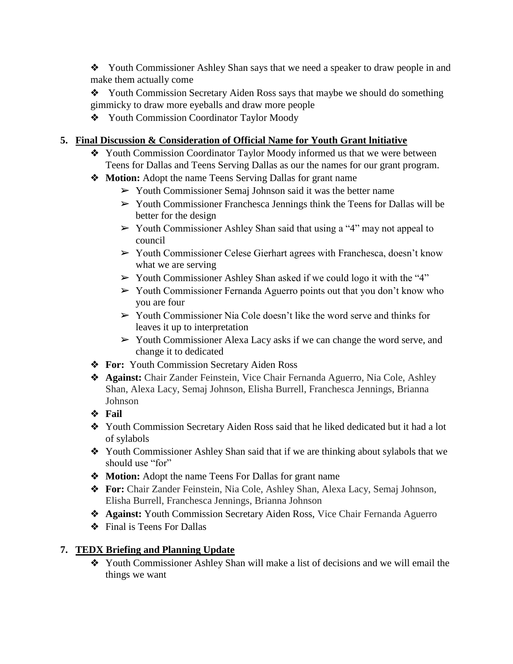❖ Youth Commissioner Ashley Shan says that we need a speaker to draw people in and make them actually come

- ❖ Youth Commission Secretary Aiden Ross says that maybe we should do something gimmicky to draw more eyeballs and draw more people
- ❖ Youth Commission Coordinator Taylor Moody

# **5. Final Discussion & Consideration of Official Name for Youth Grant lnitiative**

- ❖ Youth Commission Coordinator Taylor Moody informed us that we were between Teens for Dallas and Teens Serving Dallas as our the names for our grant program.
- ❖ **Motion:** Adopt the name Teens Serving Dallas for grant name
	- ➢ Youth Commissioner Semaj Johnson said it was the better name
	- ➢ Youth Commissioner Franchesca Jennings think the Teens for Dallas will be better for the design
	- ➢ Youth Commissioner Ashley Shan said that using a "4" may not appeal to council
	- ➢ Youth Commissioner Celese Gierhart agrees with Franchesca, doesn't know what we are serving
	- ➢ Youth Commissioner Ashley Shan asked if we could logo it with the "4"
	- ➢ Youth Commissioner Fernanda Aguerro points out that you don't know who you are four
	- ➢ Youth Commissioner Nia Cole doesn't like the word serve and thinks for leaves it up to interpretation
	- $\triangleright$  Youth Commissioner Alexa Lacy asks if we can change the word serve, and change it to dedicated
- ❖ **For:** Youth Commission Secretary Aiden Ross
- ❖ **Against:** Chair Zander Feinstein, Vice Chair Fernanda Aguerro, Nia Cole, Ashley Shan, Alexa Lacy, Semaj Johnson, Elisha Burrell, Franchesca Jennings, Brianna Johnson
- ❖ **Fail**
- ❖ Youth Commission Secretary Aiden Ross said that he liked dedicated but it had a lot of sylabols
- ❖ Youth Commissioner Ashley Shan said that if we are thinking about sylabols that we should use "for"
- ❖ **Motion:** Adopt the name Teens For Dallas for grant name
- ❖ **For:** Chair Zander Feinstein, Nia Cole, Ashley Shan, Alexa Lacy, Semaj Johnson, Elisha Burrell, Franchesca Jennings, Brianna Johnson
- ❖ **Against:** Youth Commission Secretary Aiden Ross, Vice Chair Fernanda Aguerro
- ❖ Final is Teens For Dallas

# **7. TEDX Briefing and Planning Update**

❖ Youth Commissioner Ashley Shan will make a list of decisions and we will email the things we want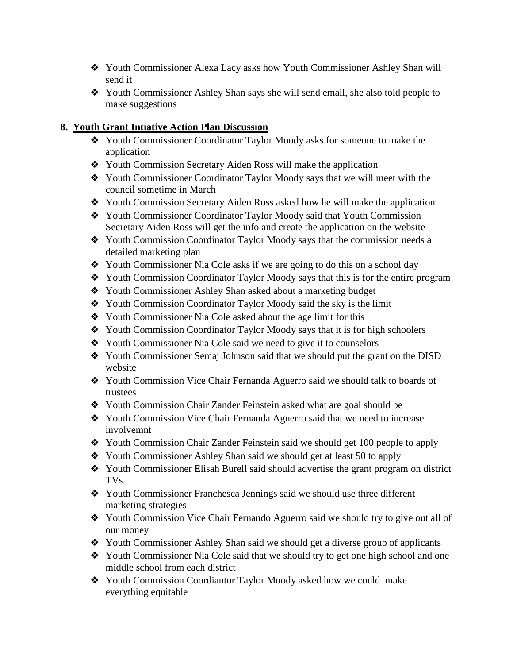- ❖ Youth Commissioner Alexa Lacy asks how Youth Commissioner Ashley Shan will send it
- ❖ Youth Commissioner Ashley Shan says she will send email, she also told people to make suggestions

#### **8. Youth Grant Intiative Action Plan Discussion**

- ❖ Youth Commissioner Coordinator Taylor Moody asks for someone to make the application
- ❖ Youth Commission Secretary Aiden Ross will make the application
- ❖ Youth Commissioner Coordinator Taylor Moody says that we will meet with the council sometime in March
- ❖ Youth Commission Secretary Aiden Ross asked how he will make the application
- ❖ Youth Commissioner Coordinator Taylor Moody said that Youth Commission Secretary Aiden Ross will get the info and create the application on the website
- ❖ Youth Commission Coordinator Taylor Moody says that the commission needs a detailed marketing plan
- ❖ Youth Commissioner Nia Cole asks if we are going to do this on a school day
- ❖ Youth Commission Coordinator Taylor Moody says that this is for the entire program
- ❖ Youth Commissioner Ashley Shan asked about a marketing budget
- ❖ Youth Commission Coordinator Taylor Moody said the sky is the limit
- ❖ Youth Commissioner Nia Cole asked about the age limit for this
- ❖ Youth Commission Coordinator Taylor Moody says that it is for high schoolers
- ❖ Youth Commissioner Nia Cole said we need to give it to counselors
- ❖ Youth Commissioner Semaj Johnson said that we should put the grant on the DISD website
- ❖ Youth Commission Vice Chair Fernanda Aguerro said we should talk to boards of trustees
- ❖ Youth Commission Chair Zander Feinstein asked what are goal should be
- ❖ Youth Commission Vice Chair Fernanda Aguerro said that we need to increase involvemnt
- ❖ Youth Commission Chair Zander Feinstein said we should get 100 people to apply
- ❖ Youth Commissioner Ashley Shan said we should get at least 50 to apply
- ❖ Youth Commissioner Elisah Burell said should advertise the grant program on district TVs
- ❖ Youth Commissioner Franchesca Jennings said we should use three different marketing strategies
- ❖ Youth Commission Vice Chair Fernando Aguerro said we should try to give out all of our money
- ❖ Youth Commissioner Ashley Shan said we should get a diverse group of applicants
- ❖ Youth Commissioner Nia Cole said that we should try to get one high school and one middle school from each district
- ❖ Youth Commission Coordiantor Taylor Moody asked how we could make everything equitable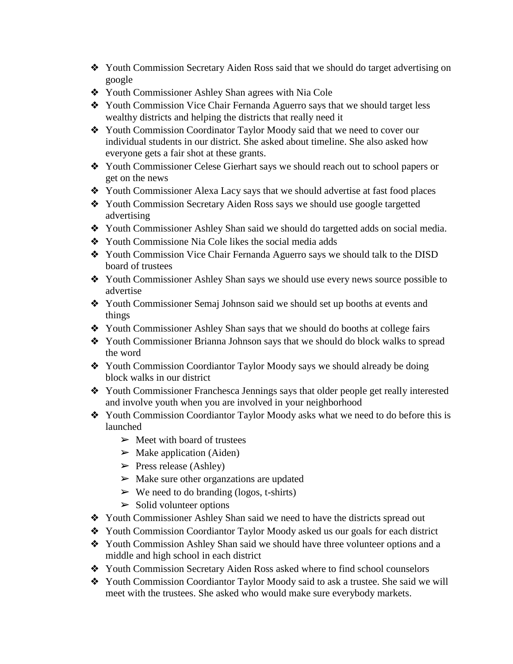- ❖ Youth Commission Secretary Aiden Ross said that we should do target advertising on google
- ❖ Youth Commissioner Ashley Shan agrees with Nia Cole
- ❖ Youth Commission Vice Chair Fernanda Aguerro says that we should target less wealthy districts and helping the districts that really need it
- ❖ Youth Commission Coordinator Taylor Moody said that we need to cover our individual students in our district. She asked about timeline. She also asked how everyone gets a fair shot at these grants.
- ❖ Youth Commissioner Celese Gierhart says we should reach out to school papers or get on the news
- ❖ Youth Commissioner Alexa Lacy says that we should advertise at fast food places
- ❖ Youth Commission Secretary Aiden Ross says we should use google targetted advertising
- ❖ Youth Commissioner Ashley Shan said we should do targetted adds on social media.
- ❖ Youth Commissione Nia Cole likes the social media adds
- ❖ Youth Commission Vice Chair Fernanda Aguerro says we should talk to the DISD board of trustees
- ❖ Youth Commissioner Ashley Shan says we should use every news source possible to advertise
- ❖ Youth Commissioner Semaj Johnson said we should set up booths at events and things
- ❖ Youth Commissioner Ashley Shan says that we should do booths at college fairs
- ❖ Youth Commissioner Brianna Johnson says that we should do block walks to spread the word
- ❖ Youth Commission Coordiantor Taylor Moody says we should already be doing block walks in our district
- ❖ Youth Commissioner Franchesca Jennings says that older people get really interested and involve youth when you are involved in your neighborhood
- ❖ Youth Commission Coordiantor Taylor Moody asks what we need to do before this is launched
	- $\triangleright$  Meet with board of trustees
	- $\triangleright$  Make application (Aiden)
	- $\triangleright$  Press release (Ashley)
	- $\triangleright$  Make sure other organizations are updated
	- $\triangleright$  We need to do branding (logos, t-shirts)
	- $\triangleright$  Solid volunteer options
- ❖ Youth Commissioner Ashley Shan said we need to have the districts spread out
- ❖ Youth Commission Coordiantor Taylor Moody asked us our goals for each district
- ❖ Youth Commission Ashley Shan said we should have three volunteer options and a middle and high school in each district
- ❖ Youth Commission Secretary Aiden Ross asked where to find school counselors
- ❖ Youth Commission Coordiantor Taylor Moody said to ask a trustee. She said we will meet with the trustees. She asked who would make sure everybody markets.